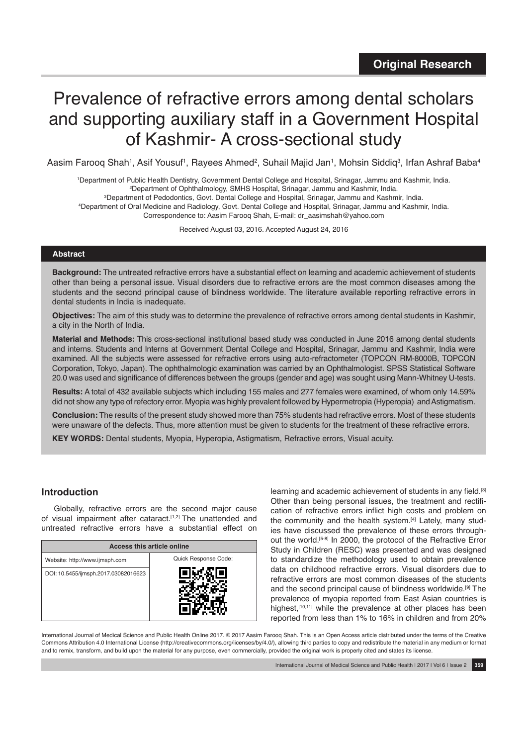# Prevalence of refractive errors among dental scholars and supporting auxiliary staff in a Government Hospital of Kashmir- A cross-sectional study

Aasim Farooq Shah<sup>1</sup>, Asif Yousuf<sup>1</sup>, Rayees Ahmed<sup>2</sup>, Suhail Majid Jan<sup>1</sup>, Mohsin Siddiq<sup>3</sup>, Irfan Ashraf Baba<sup>4</sup>

1 Department of Public Health Dentistry, Government Dental College and Hospital, Srinagar, Jammu and Kashmir, India.

2 Department of Ophthalmology, SMHS Hospital, Srinagar, Jammu and Kashmir, India.

3 Department of Pedodontics, Govt. Dental College and Hospital, Srinagar, Jammu and Kashmir, India.

4 Department of Oral Medicine and Radiology, Govt. Dental College and Hospital, Srinagar, Jammu and Kashmir, India. Correspondence to: Aasim Farooq Shah, E-mail: dr\_aasimshah@yahoo.com

Received August 03, 2016. Accepted August 24, 2016

## **Abstract**

**Background:** The untreated refractive errors have a substantial effect on learning and academic achievement of students other than being a personal issue. Visual disorders due to refractive errors are the most common diseases among the students and the second principal cause of blindness worldwide. The literature available reporting refractive errors in dental students in India is inadequate.

**Objectives:** The aim of this study was to determine the prevalence of refractive errors among dental students in Kashmir, a city in the North of India.

**Material and Methods:** This cross-sectional institutional based study was conducted in June 2016 among dental students and interns. Students and Interns at Government Dental College and Hospital, Srinagar, Jammu and Kashmir, India were examined. All the subjects were assessed for refractive errors using auto-refractometer (TOPCON RM-8000B, TOPCON Corporation, Tokyo, Japan). The ophthalmologic examination was carried by an Ophthalmologist. SPSS Statistical Software 20.0 was used and significance of differences between the groups (gender and age) was sought using Mann-Whitney U-tests.

**Results:** A total of 432 available subjects which including 155 males and 277 females were examined, of whom only 14.59% did not show any type of refectory error. Myopia was highly prevalent followed by Hypermetropia (Hyperopia) and Astigmatism.

**Conclusion:** The results of the present study showed more than 75% students had refractive errors. Most of these students were unaware of the defects. Thus, more attention must be given to students for the treatment of these refractive errors.

**KEY WORDS:** Dental students, Myopia, Hyperopia, Astigmatism, Refractive errors, Visual acuity.

## **Introduction**

Globally, refractive errors are the second major cause of visual impairment after cataract.<sup>[1,2]</sup> The unattended and untreated refractive errors have a substantial effect on

| <b>Access this article online</b>    |                      |  |  |  |
|--------------------------------------|----------------------|--|--|--|
| Website: http://www.ijmsph.com       | Quick Response Code: |  |  |  |
| DOI: 10.5455/ijmsph.2017.03082016623 |                      |  |  |  |

learning and academic achievement of students in any field.[3] Other than being personal issues, the treatment and rectification of refractive errors inflict high costs and problem on the community and the health system.<sup>[4]</sup> Lately, many studies have discussed the prevalence of these errors throughout the world.<sup>[5-8]</sup> In 2000, the protocol of the Refractive Error Study in Children (RESC) was presented and was designed to standardize the methodology used to obtain prevalence data on childhood refractive errors. Visual disorders due to refractive errors are most common diseases of the students and the second principal cause of blindness worldwide.[9] The prevalence of myopia reported from East Asian countries is highest, [10,11] while the prevalence at other places has been reported from less than 1% to 16% in children and from 20%

International Journal of Medical Science and Public Health Online 2017. © 2017 Aasim Farooq Shah. This is an Open Access article distributed under the terms of the Creative Commons Attribution 4.0 International License (http://creativecommons.org/licenses/by/4.0/), allowing third parties to copy and redistribute the material in any medium or format and to remix, transform, and build upon the material for any purpose, even commercially, provided the original work is properly cited and states its license.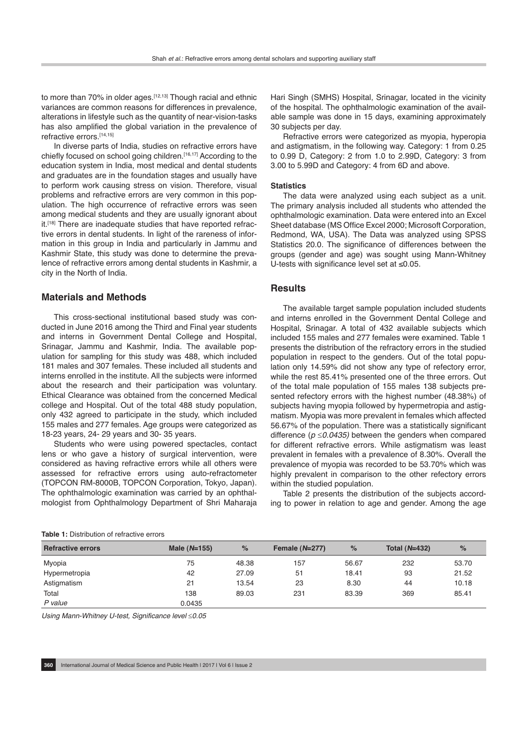to more than 70% in older ages.<sup>[12,13]</sup> Though racial and ethnic variances are common reasons for differences in prevalence, alterations in lifestyle such as the quantity of near-vision-tasks has also amplified the global variation in the prevalence of refractive errors.[14,15]

In diverse parts of India, studies on refractive errors have chiefly focused on school going children.<sup>[16,17]</sup> According to the education system in India, most medical and dental students and graduates are in the foundation stages and usually have to perform work causing stress on vision. Therefore, visual problems and refractive errors are very common in this population. The high occurrence of refractive errors was seen among medical students and they are usually ignorant about it.<sup>[18]</sup> There are inadequate studies that have reported refractive errors in dental students. In light of the rareness of information in this group in India and particularly in Jammu and Kashmir State, this study was done to determine the prevalence of refractive errors among dental students in Kashmir, a city in the North of India.

## **Materials and Methods**

This cross-sectional institutional based study was conducted in June 2016 among the Third and Final year students and interns in Government Dental College and Hospital, Srinagar, Jammu and Kashmir, India. The available population for sampling for this study was 488, which included 181 males and 307 females. These included all students and interns enrolled in the institute. All the subjects were informed about the research and their participation was voluntary. Ethical Clearance was obtained from the concerned Medical college and Hospital. Out of the total 488 study population, only 432 agreed to participate in the study, which included 155 males and 277 females. Age groups were categorized as 18-23 years, 24- 29 years and 30- 35 years.

Students who were using powered spectacles, contact lens or who gave a history of surgical intervention, were considered as having refractive errors while all others were assessed for refractive errors using auto-refractometer (TOPCON RM-8000B, TOPCON Corporation, Tokyo, Japan). The ophthalmologic examination was carried by an ophthalmologist from Ophthalmology Department of Shri Maharaja Hari Singh (SMHS) Hospital, Srinagar, located in the vicinity of the hospital. The ophthalmologic examination of the available sample was done in 15 days, examining approximately 30 subjects per day.

Refractive errors were categorized as myopia, hyperopia and astigmatism, in the following way. Category: 1 from 0.25 to 0.99 D, Category: 2 from 1.0 to 2.99D, Category: 3 from 3.00 to 5.99D and Category: 4 from 6D and above.

#### **Statistics**

The data were analyzed using each subject as a unit. The primary analysis included all students who attended the ophthalmologic examination. Data were entered into an Excel Sheet database (MS Office Excel 2000; Microsoft Corporation, Redmond, WA, USA). The Data was analyzed using SPSS Statistics 20.0. The significance of differences between the groups (gender and age) was sought using Mann-Whitney U-tests with significance level set at ≤0.05.

## **Results**

The available target sample population included students and interns enrolled in the Government Dental College and Hospital, Srinagar. A total of 432 available subjects which included 155 males and 277 females were examined. Table 1 presents the distribution of the refractory errors in the studied population in respect to the genders. Out of the total population only 14.59% did not show any type of refectory error, while the rest 85.41% presented one of the three errors. Out of the total male population of 155 males 138 subjects presented refectory errors with the highest number (48.38%) of subjects having myopia followed by hypermetropia and astigmatism. Myopia was more prevalent in females which affected 56.67% of the population. There was a statistically significant difference (*p* ≤*0.0435)* between the genders when compared for different refractive errors. While astigmatism was least prevalent in females with a prevalence of 8.30%. Overall the prevalence of myopia was recorded to be 53.70% which was highly prevalent in comparison to the other refectory errors within the studied population.

Table 2 presents the distribution of the subjects according to power in relation to age and gender. Among the age

| <b>Refractive errors</b> | Male $(N=155)$ | %     | Female (N=277) | $\%$  | <b>Total (N=432)</b> | $\%$  |  |
|--------------------------|----------------|-------|----------------|-------|----------------------|-------|--|
| Myopia                   | 75             | 48.38 | 157            | 56.67 | 232                  | 53.70 |  |
| Hypermetropia            | 42             | 27.09 | 51             | 18.41 | 93                   | 21.52 |  |
| Astigmatism              | 21             | 13.54 | 23             | 8.30  | 44                   | 10.18 |  |
| Total                    | 138            | 89.03 | 231            | 83.39 | 369                  | 85.41 |  |
| P value                  | 0.0435         |       |                |       |                      |       |  |

*Using Mann-Whitney U-test, Significance level* ≤*0.05*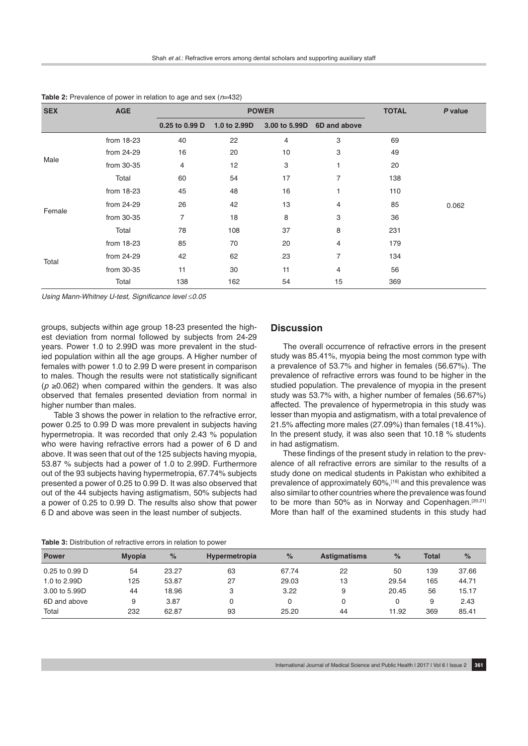| <b>SEX</b> | <b>AGE</b> | <b>POWER</b>   |              |               |                | <b>TOTAL</b> | P value |
|------------|------------|----------------|--------------|---------------|----------------|--------------|---------|
|            |            | 0.25 to 0.99 D | 1.0 to 2.99D | 3.00 to 5.99D | 6D and above   |              |         |
| Male       | from 18-23 | 40             | 22           | 4             | 3              | 69           |         |
|            | from 24-29 | 16             | 20           | 10            | 3              | 49           |         |
|            | from 30-35 | 4              | 12           | 3             | 1              | 20           |         |
|            | Total      | 60             | 54           | 17            | 7              | 138          |         |
| Female     | from 18-23 | 45             | 48           | 16            |                | 110          |         |
|            | from 24-29 | 26             | 42           | 13            | 4              | 85           | 0.062   |
|            | from 30-35 | $\overline{7}$ | 18           | 8             | 3              | 36           |         |
|            | Total      | 78             | 108          | 37            | 8              | 231          |         |
| Total      | from 18-23 | 85             | 70           | 20            | 4              | 179          |         |
|            | from 24-29 | 42             | 62           | 23            | $\overline{7}$ | 134          |         |
|            | from 30-35 | 11             | 30           | 11            | 4              | 56           |         |
|            | Total      | 138            | 162          | 54            | 15             | 369          |         |

**Table 2:** Prevalence of power in relation to age and sex (*n*=432)

*Using Mann-Whitney U-test, Significance level* ≤*0.05*

groups, subjects within age group 18-23 presented the highest deviation from normal followed by subjects from 24-29 years. Power 1.0 to 2.99D was more prevalent in the studied population within all the age groups. A Higher number of females with power 1.0 to 2.99 D were present in comparison to males. Though the results were not statistically significant  $(p ≥ 0.062)$  when compared within the genders. It was also observed that females presented deviation from normal in higher number than males.

Table 3 shows the power in relation to the refractive error, power 0.25 to 0.99 D was more prevalent in subjects having hypermetropia. It was recorded that only 2.43 % population who were having refractive errors had a power of 6 D and above. It was seen that out of the 125 subjects having myopia, 53.87 % subjects had a power of 1.0 to 2.99D. Furthermore out of the 93 subjects having hypermetropia, 67.74% subjects presented a power of 0.25 to 0.99 D. It was also observed that out of the 44 subjects having astigmatism, 50% subjects had a power of 0.25 to 0.99 D. The results also show that power 6 D and above was seen in the least number of subjects.

# **Discussion**

The overall occurrence of refractive errors in the present study was 85.41%, myopia being the most common type with a prevalence of 53.7% and higher in females (56.67%). The prevalence of refractive errors was found to be higher in the studied population. The prevalence of myopia in the present study was 53.7% with, a higher number of females (56.67%) affected. The prevalence of hypermetropia in this study was lesser than myopia and astigmatism, with a total prevalence of 21.5% affecting more males (27.09%) than females (18.41%). In the present study, it was also seen that 10.18 % students in had astigmatism.

These findings of the present study in relation to the prevalence of all refractive errors are similar to the results of a study done on medical students in Pakistan who exhibited a prevalence of approximately 60%,[19] and this prevalence was also similar to other countries where the prevalence was found to be more than 50% as in Norway and Copenhagen.<sup>[20,21]</sup> More than half of the examined students in this study had

| <b>Table 3:</b> Distribution of refractive errors in relation to power |  |
|------------------------------------------------------------------------|--|
|------------------------------------------------------------------------|--|

| <b>Power</b>   | <b>Myopia</b> | %     | <b>Hypermetropia</b> | %     | <b>Astigmatisms</b> | $\%$  | <b>Total</b> | $\%$  |
|----------------|---------------|-------|----------------------|-------|---------------------|-------|--------------|-------|
| 0.25 to 0.99 D | 54            | 23.27 | 63                   | 67.74 | 22                  | 50    | 139          | 37.66 |
| 1.0 to 2.99D   | 125           | 53.87 | 27                   | 29.03 | 13                  | 29.54 | 165          | 44.71 |
| 3.00 to 5.99D  | 44            | 18.96 | 3                    | 3.22  | 9                   | 20.45 | 56           | 15.17 |
| 6D and above   | 9             | 3.87  |                      |       |                     |       | 9            | 2.43  |
| Total          | 232           | 62.87 | 93                   | 25.20 | 44                  | 11.92 | 369          | 85.41 |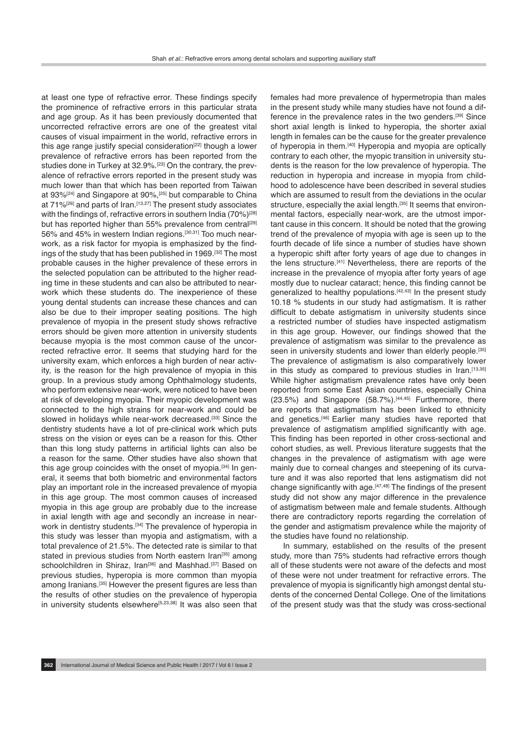at least one type of refractive error. These findings specify the prominence of refractive errors in this particular strata and age group. As it has been previously documented that uncorrected refractive errors are one of the greatest vital causes of visual impairment in the world, refractive errors in this age range justify special consideration<sup>[22]</sup> though a lower prevalence of refractive errors has been reported from the studies done in Turkey at 32.9%.[23] On the contrary, the prevalence of refractive errors reported in the present study was much lower than that which has been reported from Taiwan at 93%<sup>[24]</sup> and Singapore at 90%,<sup>[25]</sup> but comparable to China at  $71\%$ <sup>[26]</sup> and parts of Iran.<sup>[13,27]</sup> The present study associates with the findings of, refractive errors in southern India (70%)<sup>[28]</sup> but has reported higher than 55% prevalence from central<sup>[29]</sup> 56% and 45% in western Indian regions.[30,31] Too much nearwork, as a risk factor for myopia is emphasized by the findings of the study that has been published in 1969.[32] The most probable causes in the higher prevalence of these errors in the selected population can be attributed to the higher reading time in these students and can also be attributed to nearwork which these students do. The inexperience of these young dental students can increase these chances and can also be due to their improper seating positions. The high prevalence of myopia in the present study shows refractive errors should be given more attention in university students because myopia is the most common cause of the uncorrected refractive error. It seems that studying hard for the university exam, which enforces a high burden of near activity, is the reason for the high prevalence of myopia in this group. In a previous study among Ophthalmology students, who perform extensive near-work, were noticed to have been at risk of developing myopia. Their myopic development was connected to the high strains for near-work and could be slowed in holidays while near-work decreased.<sup>[33]</sup> Since the dentistry students have a lot of pre-clinical work which puts stress on the vision or eyes can be a reason for this. Other than this long study patterns in artificial lights can also be a reason for the same. Other studies have also shown that this age group coincides with the onset of myopia.<sup>[34]</sup> In general, it seems that both biometric and environmental factors play an important role in the increased prevalence of myopia in this age group. The most common causes of increased myopia in this age group are probably due to the increase in axial length with age and secondly an increase in nearwork in dentistry students.<sup>[34]</sup> The prevalence of hyperopia in this study was lesser than myopia and astigmatism, with a total prevalence of 21.5%. The detected rate is similar to that stated in previous studies from North eastern Iran<sup>[35]</sup> among schoolchildren in Shiraz, Iran<sup>[36]</sup> and Mashhad.<sup>[37]</sup> Based on previous studies, hyperopia is more common than myopia among Iranians.<sup>[35]</sup> However the present figures are less than the results of other studies on the prevalence of hyperopia in university students elsewhere<sup>[5,23,38]</sup> It was also seen that females had more prevalence of hypermetropia than males in the present study while many studies have not found a difference in the prevalence rates in the two genders.<sup>[39]</sup> Since short axial length is linked to hyperopia, the shorter axial length in females can be the cause for the greater prevalence of hyperopia in them.[40] Hyperopia and myopia are optically contrary to each other, the myopic transition in university students is the reason for the low prevalence of hyperopia. The reduction in hyperopia and increase in myopia from childhood to adolescence have been described in several studies which are assumed to result from the deviations in the ocular structure, especially the axial length.<sup>[35]</sup> It seems that environmental factors, especially near-work, are the utmost important cause in this concern. It should be noted that the growing trend of the prevalence of myopia with age is seen up to the fourth decade of life since a number of studies have shown a hyperopic shift after forty years of age due to changes in the lens structure.[41] Nevertheless, there are reports of the increase in the prevalence of myopia after forty years of age mostly due to nuclear cataract; hence, this finding cannot be generalized to healthy populations.<sup>[42,43]</sup> In the present study 10.18 % students in our study had astigmatism. It is rather difficult to debate astigmatism in university students since a restricted number of studies have inspected astigmatism in this age group. However, our findings showed that the prevalence of astigmatism was similar to the prevalence as seen in university students and lower than elderly people.<sup>[35]</sup> The prevalence of astigmatism is also comparatively lower in this study as compared to previous studies in Iran.<sup>[13,35]</sup> While higher astigmatism prevalence rates have only been reported from some East Asian countries, especially China (23.5%) and Singapore (58.7%).<sup>[44,45]</sup> Furthermore, there are reports that astigmatism has been linked to ethnicity and genetics.[46] Earlier many studies have reported that prevalence of astigmatism amplified significantly with age. This finding has been reported in other cross-sectional and cohort studies, as well. Previous literature suggests that the changes in the prevalence of astigmatism with age were mainly due to corneal changes and steepening of its curvature and it was also reported that lens astigmatism did not change significantly with age.[47,48] The findings of the present study did not show any major difference in the prevalence of astigmatism between male and female students. Although there are contradictory reports regarding the correlation of the gender and astigmatism prevalence while the majority of the studies have found no relationship.

In summary, established on the results of the present study, more than 75% students had refractive errors though all of these students were not aware of the defects and most of these were not under treatment for refractive errors. The prevalence of myopia is significantly high amongst dental students of the concerned Dental College. One of the limitations of the present study was that the study was cross-sectional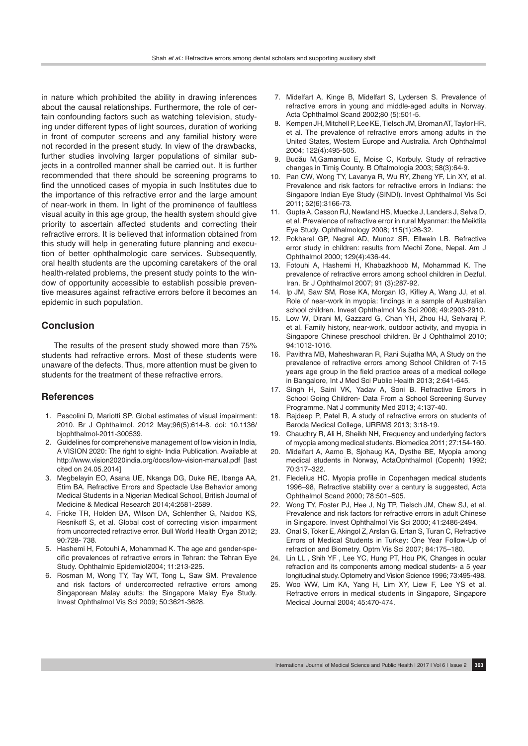in nature which prohibited the ability in drawing inferences about the causal relationships. Furthermore, the role of certain confounding factors such as watching television, studying under different types of light sources, duration of working in front of computer screens and any familial history were not recorded in the present study. In view of the drawbacks, further studies involving larger populations of similar subjects in a controlled manner shall be carried out. It is further recommended that there should be screening programs to find the unnoticed cases of myopia in such Institutes due to the importance of this refractive error and the large amount of near-work in them. In light of the prominence of faultless visual acuity in this age group, the health system should give priority to ascertain affected students and correcting their refractive errors. It is believed that information obtained from this study will help in generating future planning and execution of better ophthalmologic care services. Subsequently, oral health students are the upcoming caretakers of the oral health-related problems, the present study points to the window of opportunity accessible to establish possible preventive measures against refractive errors before it becomes an epidemic in such population.

# **Conclusion**

The results of the present study showed more than 75% students had refractive errors. Most of these students were unaware of the defects. Thus, more attention must be given to students for the treatment of these refractive errors.

## **References**

- 1. Pascolini D, Mariotti SP. Global estimates of visual impairment: 2010. Br J Ophthalmol. 2012 May;96(5):614-8. doi: 10.1136/ bjophthalmol-2011-300539.
- 2. Guidelines for comprehensive management of low vision in India, A VISION 2020: The right to sight- India Publication. Available at http://www.vision2020india.org/docs/low-vision-manual.pdf [last cited on 24.05.2014]
- 3. Megbelayin EO, Asana UE, Nkanga DG, Duke RE, Ibanga AA, Etim BA. Refractive Errors and Spectacle Use Behavior among Medical Students in a Nigerian Medical School, British Journal of Medicine & Medical Research 2014;4:2581-2589.
- 4. Fricke TR, Holden BA, Wilson DA, Schlenther G, Naidoo KS, Resnikoff S, et al. Global cost of correcting vision impairment from uncorrected refractive error. Bull World Health Organ 2012; 90:728- 738.
- 5. Hashemi H, Fotouhi A, Mohammad K. The age and gender-specific prevalences of refractive errors in Tehran: the Tehran Eye Study. Ophthalmic Epidemiol2004; 11:213-225.
- 6. Rosman M, Wong TY, Tay WT, Tong L, Saw SM. Prevalence and risk factors of undercorrected refractive errors among Singaporean Malay adults: the Singapore Malay Eye Study. Invest Ophthalmol Vis Sci 2009; 50:3621-3628.
- 7. Midelfart A, Kinge B, Midelfart S, Lydersen S. Prevalence of refractive errors in young and middle-aged adults in Norway. Acta Ophthalmol Scand 2002;80 (5):501-5.
- 8. Kempen JH, Mitchell P, Lee KE, Tielsch JM, Broman AT, Taylor HR, et al. The prevalence of refractive errors among adults in the United States, Western Europe and Australia. Arch Ophthalmol 2004; 122(4):495-505.
- 9. Budău M,Gamaniuc E, Moise C, Korbuly. Study of refractive changes in Timiş County. B Oftalmologia 2003; 58(3):64-9.
- 10. Pan CW, Wong TY, Lavanya R, Wu RY, Zheng YF, Lin XY, et al. Prevalence and risk factors for refractive errors in Indians: the Singapore Indian Eye Study (SINDI). Invest Ophthalmol Vis Sci 2011; 52(6):3166-73.
- 11. Gupta A, Casson RJ, Newland HS, Muecke J, Landers J, Selva D, et al. Prevalence of refractive error in rural Myanmar: the Meiktila Eye Study. Ophthalmology 2008; 115(1):26-32.
- 12. Pokharel GP, Negrel AD, Munoz SR, Ellwein LB. Refractive error study in children: results from Mechi Zone, Nepal. Am J Ophthalmol 2000; 129(4):436-44.
- 13. Fotouhi A, Hashemi H, Khabazkhoob M, Mohammad K. The prevalence of refractive errors among school children in Dezful, Iran. Br J Ophthalmol 2007; 91 (3):287-92.
- 14. Ip JM, Saw SM, Rose KA, Morgan IG, Kifley A, Wang JJ, et al. Role of near-work in myopia: findings in a sample of Australian school children. Invest Ophthalmol Vis Sci 2008; 49:2903-2910.
- 15. Low W, Dirani M, Gazzard G, Chan YH, Zhou HJ, Selvaraj P, et al. Family history, near-work, outdoor activity, and myopia in Singapore Chinese preschool children. Br J Ophthalmol 2010; 94:1012-1016.
- 16. Pavithra MB, Maheshwaran R, Rani Sujatha MA, A Study on the prevalence of refractive errors among School Children of 7-15 years age group in the field practice areas of a medical college in Bangalore, Int J Med Sci Public Health 2013; 2:641-645.
- 17. Singh H, Saini VK, Yadav A, Soni B. Refractive Errors in School Going Children- Data From a School Screening Survey Programme. Nat J community Med 2013; 4:137-40.
- 18. Rajdeep P, Patel R, A study of refractive errors on students of Baroda Medical College, IJRRMS 2013; 3:18-19.
- 19. Chaudhry R, Ali H, Sheikh NH, Frequency and underlying factors of myopia among medical students. Biomedica 2011; 27:154-160.
- 20. Midelfart A, Aamo B, Sjohaug KA, Dysthe BE, Myopia among medical students in Norway, ActaOphthalmol (Copenh) 1992; 70:317–322.
- 21. Fledelius HC. Myopia profile in Copenhagen medical students 1996–98, Refractive stability over a century is suggested, Acta Ophthalmol Scand 2000; 78:501–505.
- 22. Wong TY, Foster PJ, Hee J, Ng TP, Tielsch JM, Chew SJ, et al. Prevalence and risk factors for refractive errors in adult Chinese in Singapore. Invest Ophthalmol Vis Sci 2000; 41:2486-2494.
- 23. Onal S, Toker E, Akingol Z, Arslan G, Ertan S, Turan C, Refractive Errors of Medical Students in Turkey: One Year Follow-Up of refraction and Biometry. Optm Vis Sci 2007; 84:175–180.
- 24. Lin LL , Shih YF , Lee YC, Hung PT, Hou PK, Changes in ocular refraction and its components among medical students- a 5 year longitudinal study. Optometry and Vision Science 1996; 73:495-498.
- 25. Woo WW, Lim KA, Yang H, Lim XY, Liew F, Lee YS et al. Refractive errors in medical students in Singapore, Singapore Medical Journal 2004; 45:470-474.